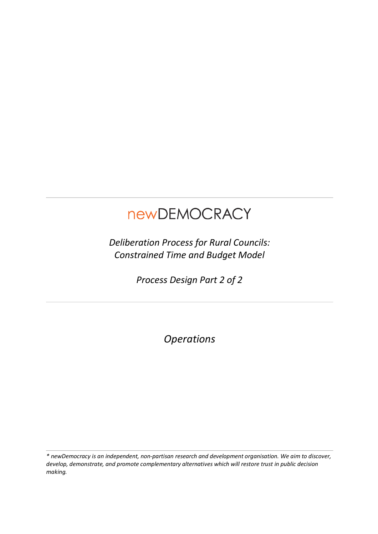# newDEMOCRACY

*Deliberation Process for Rural Councils: Constrained Time and Budget Model*

*Process Design Part 2 of 2*

*Operations*

*\* newDemocracy is an independent, non-partisan research and development organisation. We aim to discover, develop, demonstrate, and promote complementary alternatives which will restore trust in public decision making.*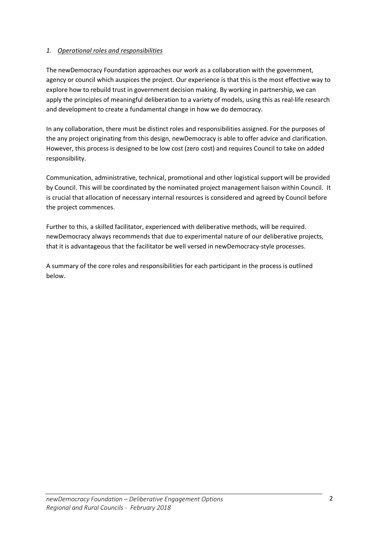#### *1. Operational roles and responsibilities*

The newDemocracy Foundation approaches our work as a collaboration with the government, agency or council which auspices the project. Our experience is that this is the most effective way to explore how to rebuild trust in government decision making. By working in partnership, we can apply the principles of meaningful deliberation to a variety of models, using this as real-life research and development to create a fundamental change in how we do democracy.

In any collaboration, there must be distinct roles and responsibilities assigned. For the purposes of the any project originating from this design, newDemocracy is able to offer advice and clarification. However, this process is designed to be low cost (zero cost) and requires Council to take on added responsibility.

Communication, administrative, technical, promotional and other logistical support will be provided by Council. This will be coordinated by the nominated project management liaison within Council. It is crucial that allocation of necessary internal resources is considered and agreed by Council before the project commences.

Further to this, a skilled facilitator, experienced with deliberative methods, will be required. newDemocracy always recommends that due to experimental nature of our deliberative projects, that it is advantageous that the facilitator be well versed in newDemocracy-style processes.

A summary of the core roles and responsibilities for each participant in the process is outlined below.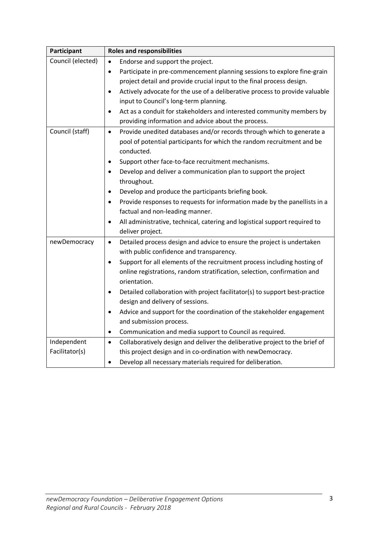| Participant       | <b>Roles and responsibilities</b>                                                        |
|-------------------|------------------------------------------------------------------------------------------|
| Council (elected) | Endorse and support the project.<br>$\bullet$                                            |
|                   | Participate in pre-commencement planning sessions to explore fine-grain<br>$\bullet$     |
|                   | project detail and provide crucial input to the final process design.                    |
|                   | Actively advocate for the use of a deliberative process to provide valuable<br>$\bullet$ |
|                   | input to Council's long-term planning.                                                   |
|                   | Act as a conduit for stakeholders and interested community members by<br>$\bullet$       |
|                   | providing information and advice about the process.                                      |
| Council (staff)   | Provide unedited databases and/or records through which to generate a<br>$\bullet$       |
|                   | pool of potential participants for which the random recruitment and be                   |
|                   | conducted.                                                                               |
|                   | Support other face-to-face recruitment mechanisms.<br>$\bullet$                          |
|                   | Develop and deliver a communication plan to support the project<br>$\bullet$             |
|                   | throughout.                                                                              |
|                   | Develop and produce the participants briefing book.<br>$\bullet$                         |
|                   | Provide responses to requests for information made by the panellists in a<br>$\bullet$   |
|                   | factual and non-leading manner.                                                          |
|                   | All administrative, technical, catering and logistical support required to<br>$\bullet$  |
|                   | deliver project.                                                                         |
| newDemocracy      | Detailed process design and advice to ensure the project is undertaken<br>$\bullet$      |
|                   | with public confidence and transparency.                                                 |
|                   | Support for all elements of the recruitment process including hosting of<br>$\bullet$    |
|                   | online registrations, random stratification, selection, confirmation and                 |
|                   | orientation.                                                                             |
|                   | Detailed collaboration with project facilitator(s) to support best-practice<br>٠         |
|                   | design and delivery of sessions.                                                         |
|                   | Advice and support for the coordination of the stakeholder engagement<br>$\bullet$       |
|                   | and submission process.                                                                  |
|                   | Communication and media support to Council as required.<br>$\bullet$                     |
| Independent       | Collaboratively design and deliver the deliberative project to the brief of<br>$\bullet$ |
| Facilitator(s)    | this project design and in co-ordination with newDemocracy.                              |
|                   | Develop all necessary materials required for deliberation.                               |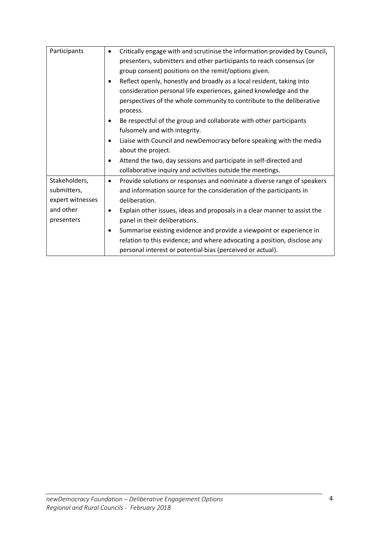| Participants     | Critically engage with and scrutinise the information provided by Council,<br>$\bullet$ |
|------------------|-----------------------------------------------------------------------------------------|
|                  | presenters, submitters and other participants to reach consensus (or                    |
|                  | group consent) positions on the remit/options given.                                    |
|                  | Reflect openly, honestly and broadly as a local resident, taking into<br>$\bullet$      |
|                  | consideration personal life experiences, gained knowledge and the                       |
|                  | perspectives of the whole community to contribute to the deliberative                   |
|                  | process.                                                                                |
|                  | Be respectful of the group and collaborate with other participants                      |
|                  | fulsomely and with integrity.                                                           |
|                  | Liaise with Council and newDemocracy before speaking with the media<br>$\bullet$        |
|                  | about the project.                                                                      |
|                  | Attend the two, day sessions and participate in self-directed and<br>$\bullet$          |
|                  | collaborative inquiry and activities outside the meetings.                              |
| Stakeholders,    | Provide solutions or responses and nominate a diverse range of speakers<br>$\bullet$    |
| submitters,      | and information source for the consideration of the participants in                     |
| expert witnesses | deliberation.                                                                           |
| and other        | Explain other issues, ideas and proposals in a clear manner to assist the<br>$\bullet$  |
| presenters       | panel in their deliberations.                                                           |
|                  | Summarise existing evidence and provide a viewpoint or experience in<br>٠               |
|                  | relation to this evidence; and where advocating a position, disclose any                |
|                  | personal interest or potential bias (perceived or actual).                              |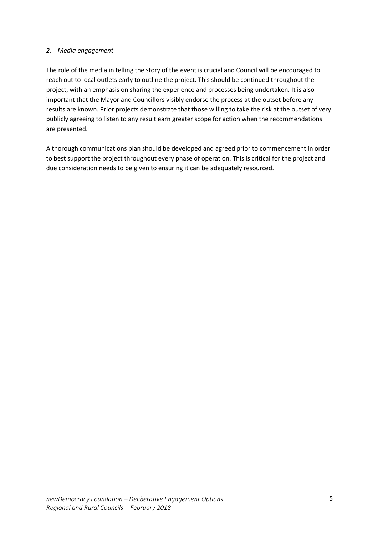## *2. Media engagement*

The role of the media in telling the story of the event is crucial and Council will be encouraged to reach out to local outlets early to outline the project. This should be continued throughout the project, with an emphasis on sharing the experience and processes being undertaken. It is also important that the Mayor and Councillors visibly endorse the process at the outset before any results are known. Prior projects demonstrate that those willing to take the risk at the outset of very publicly agreeing to listen to any result earn greater scope for action when the recommendations are presented.

A thorough communications plan should be developed and agreed prior to commencement in order to best support the project throughout every phase of operation. This is critical for the project and due consideration needs to be given to ensuring it can be adequately resourced.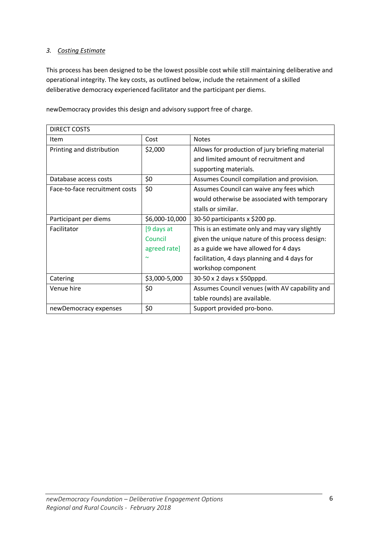## *3. Costing Estimate*

This process has been designed to be the lowest possible cost while still maintaining deliberative and operational integrity. The key costs, as outlined below, include the retainment of a skilled deliberative democracy experienced facilitator and the participant per diems.

newDemocracy provides this design and advisory support free of charge.

| DIRECT COSTS                   |                |                                                 |
|--------------------------------|----------------|-------------------------------------------------|
| Item                           | Cost           | <b>Notes</b>                                    |
| Printing and distribution      | \$2,000        | Allows for production of jury briefing material |
|                                |                | and limited amount of recruitment and           |
|                                |                | supporting materials.                           |
| Database access costs          | \$0            | Assumes Council compilation and provision.      |
| Face-to-face recruitment costs | \$0            | Assumes Council can waive any fees which        |
|                                |                | would otherwise be associated with temporary    |
|                                |                | stalls or similar.                              |
| Participant per diems          | \$6,000-10,000 | 30-50 participants x \$200 pp.                  |
| Facilitator                    | [9 days at     | This is an estimate only and may vary slightly  |
|                                | Council        | given the unique nature of this process design: |
|                                | agreed rate]   | as a guide we have allowed for 4 days           |
|                                |                | facilitation, 4 days planning and 4 days for    |
|                                |                | workshop component                              |
| Catering                       | \$3,000-5,000  | 30-50 x 2 days x \$50pppd.                      |
| Venue hire                     | \$0            | Assumes Council venues (with AV capability and  |
|                                |                | table rounds) are available.                    |
| newDemocracy expenses          | \$0            | Support provided pro-bono.                      |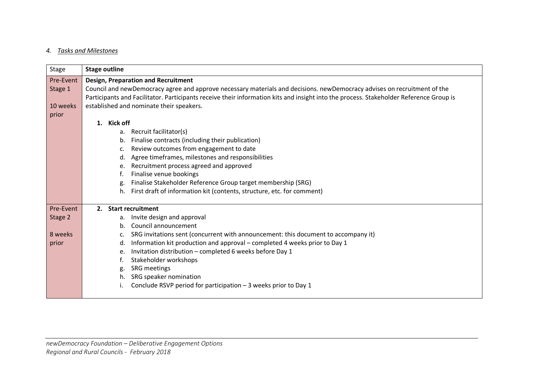## *4. Tasks and Milestones*

| Stage     | <b>Stage outline</b>                                                                                                                   |  |  |
|-----------|----------------------------------------------------------------------------------------------------------------------------------------|--|--|
| Pre-Event | <b>Design, Preparation and Recruitment</b>                                                                                             |  |  |
| Stage 1   | Council and newDemocracy agree and approve necessary materials and decisions. newDemocracy advises on recruitment of the               |  |  |
|           | Participants and Facilitator. Participants receive their information kits and insight into the process. Stakeholder Reference Group is |  |  |
| 10 weeks  | established and nominate their speakers.                                                                                               |  |  |
| prior     |                                                                                                                                        |  |  |
|           | 1. Kick off                                                                                                                            |  |  |
|           | Recruit facilitator(s)<br>a.                                                                                                           |  |  |
|           | Finalise contracts (including their publication)<br>b.                                                                                 |  |  |
|           | Review outcomes from engagement to date<br>$\mathsf{c}$ .                                                                              |  |  |
|           | Agree timeframes, milestones and responsibilities<br>d.                                                                                |  |  |
|           | Recruitment process agreed and approved<br>e.                                                                                          |  |  |
|           | Finalise venue bookings                                                                                                                |  |  |
|           | Finalise Stakeholder Reference Group target membership (SRG)                                                                           |  |  |
|           | First draft of information kit (contents, structure, etc. for comment)<br>h.                                                           |  |  |
| Pre-Event | <b>Start recruitment</b><br>2.                                                                                                         |  |  |
| Stage 2   | Invite design and approval<br>a.                                                                                                       |  |  |
|           | Council announcement<br>$h_{\cdot}$                                                                                                    |  |  |
| 8 weeks   | SRG invitations sent (concurrent with announcement: this document to accompany it)<br>c.                                               |  |  |
| prior     | Information kit production and approval - completed 4 weeks prior to Day 1<br>d.                                                       |  |  |
|           | Invitation distribution - completed 6 weeks before Day 1<br>e.                                                                         |  |  |
|           | Stakeholder workshops<br>t.                                                                                                            |  |  |
|           | SRG meetings<br>g.                                                                                                                     |  |  |
|           | SRG speaker nomination<br>h.                                                                                                           |  |  |
|           | Conclude RSVP period for participation - 3 weeks prior to Day 1                                                                        |  |  |
|           |                                                                                                                                        |  |  |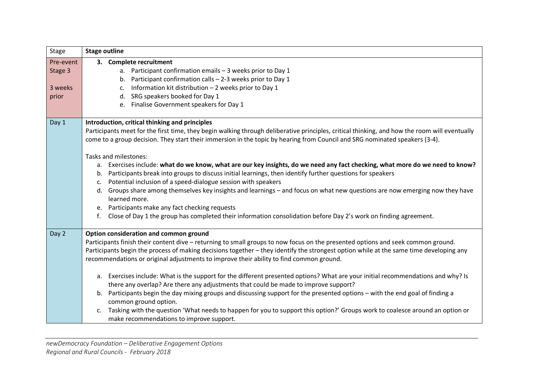| <b>Stage outline</b>                                                                                                                                                                                                                                                         |  |  |
|------------------------------------------------------------------------------------------------------------------------------------------------------------------------------------------------------------------------------------------------------------------------------|--|--|
| 3. Complete recruitment                                                                                                                                                                                                                                                      |  |  |
| a. Participant confirmation emails - 3 weeks prior to Day 1                                                                                                                                                                                                                  |  |  |
| b. Participant confirmation calls $-2-3$ weeks prior to Day 1                                                                                                                                                                                                                |  |  |
| Information kit distribution - 2 weeks prior to Day 1<br>c.                                                                                                                                                                                                                  |  |  |
| SRG speakers booked for Day 1<br>d.                                                                                                                                                                                                                                          |  |  |
| e. Finalise Government speakers for Day 1                                                                                                                                                                                                                                    |  |  |
|                                                                                                                                                                                                                                                                              |  |  |
| Introduction, critical thinking and principles                                                                                                                                                                                                                               |  |  |
| Participants meet for the first time, they begin walking through deliberative principles, critical thinking, and how the room will eventually<br>come to a group decision. They start their immersion in the topic by hearing from Council and SRG nominated speakers (3-4). |  |  |
|                                                                                                                                                                                                                                                                              |  |  |
| Tasks and milestones:                                                                                                                                                                                                                                                        |  |  |
| a. Exercises include: what do we know, what are our key insights, do we need any fact checking, what more do we need to know?                                                                                                                                                |  |  |
| b. Participants break into groups to discuss initial learnings, then identify further questions for speakers                                                                                                                                                                 |  |  |
| Potential inclusion of a speed-dialogue session with speakers<br>C.                                                                                                                                                                                                          |  |  |
| d. Groups share among themselves key insights and learnings - and focus on what new questions are now emerging now they have                                                                                                                                                 |  |  |
| learned more.                                                                                                                                                                                                                                                                |  |  |
| e. Participants make any fact checking requests                                                                                                                                                                                                                              |  |  |
| Close of Day 1 the group has completed their information consolidation before Day 2's work on finding agreement.<br>f.                                                                                                                                                       |  |  |
| Option consideration and common ground                                                                                                                                                                                                                                       |  |  |
| Participants finish their content dive - returning to small groups to now focus on the presented options and seek common ground.                                                                                                                                             |  |  |
| Participants begin the process of making decisions together - they identify the strongest option while at the same time developing any                                                                                                                                       |  |  |
| recommendations or original adjustments to improve their ability to find common ground.                                                                                                                                                                                      |  |  |
|                                                                                                                                                                                                                                                                              |  |  |
| a. Exercises include: What is the support for the different presented options? What are your initial recommendations and why? Is                                                                                                                                             |  |  |
| there any overlap? Are there any adjustments that could be made to improve support?                                                                                                                                                                                          |  |  |
| b. Participants begin the day mixing groups and discussing support for the presented options - with the end goal of finding a<br>common ground option.                                                                                                                       |  |  |
| c. Tasking with the question 'What needs to happen for you to support this option?' Groups work to coalesce around an option or<br>make recommendations to improve support.                                                                                                  |  |  |
|                                                                                                                                                                                                                                                                              |  |  |